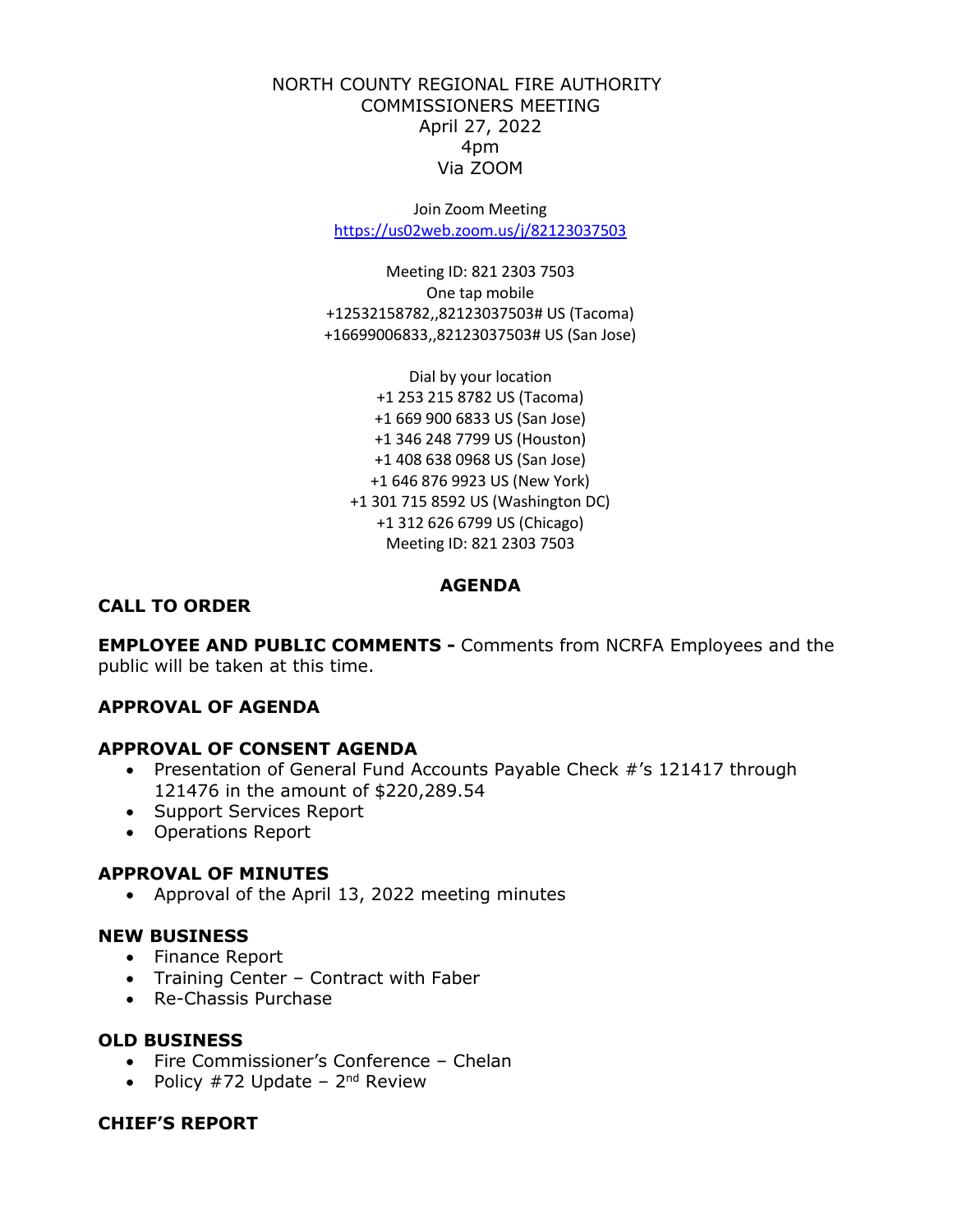### NORTH COUNTY REGIONAL FIRE AUTHORITY COMMISSIONERS MEETING April 27, 2022 4pm Via ZOOM

Join Zoom Meeting <https://us02web.zoom.us/j/82123037503>

Meeting ID: 821 2303 7503 One tap mobile +12532158782,,82123037503# US (Tacoma) +16699006833,,82123037503# US (San Jose)

Dial by your location +1 253 215 8782 US (Tacoma) +1 669 900 6833 US (San Jose) +1 346 248 7799 US (Houston) +1 408 638 0968 US (San Jose) +1 646 876 9923 US (New York) +1 301 715 8592 US (Washington DC) +1 312 626 6799 US (Chicago) Meeting ID: 821 2303 7503

### **AGENDA**

#### **CALL TO ORDER**

**EMPLOYEE AND PUBLIC COMMENTS -** Comments from NCRFA Employees and the public will be taken at this time.

#### **APPROVAL OF AGENDA**

#### **APPROVAL OF CONSENT AGENDA**

- Presentation of General Fund Accounts Payable Check #'s 121417 through 121476 in the amount of \$220,289.54
- Support Services Report
- Operations Report

#### **APPROVAL OF MINUTES**

• Approval of the April 13, 2022 meeting minutes

#### **NEW BUSINESS**

- Finance Report
- Training Center Contract with Faber
- Re-Chassis Purchase

#### **OLD BUSINESS**

- Fire Commissioner's Conference Chelan
- Policy  $#72$  Update  $2<sup>nd</sup>$  Review

### **CHIEF'S REPORT**